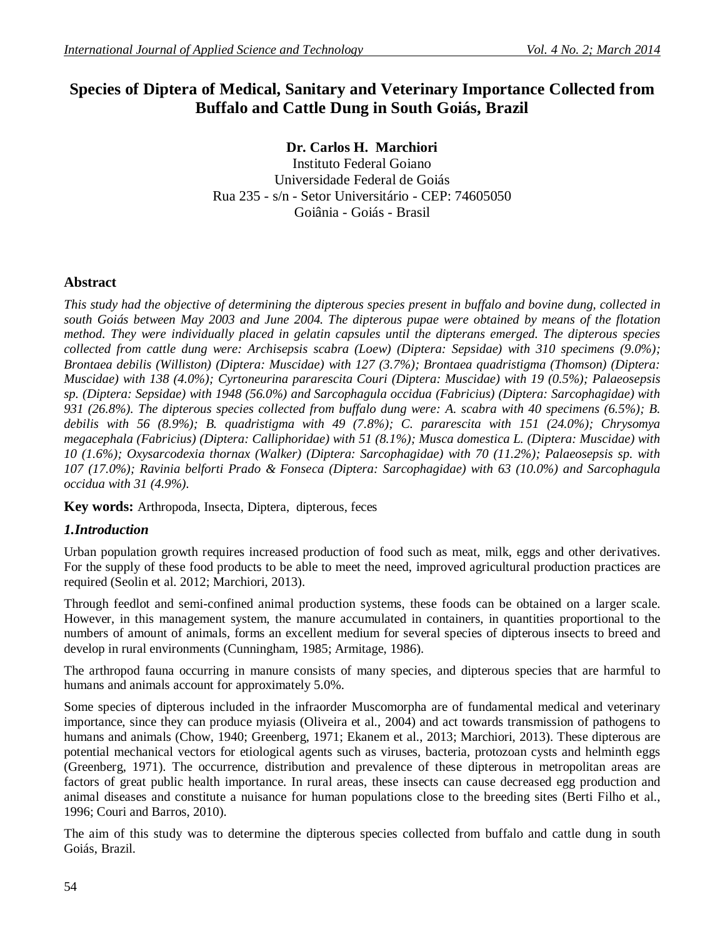# **Species of Diptera of Medical, Sanitary and Veterinary Importance Collected from Buffalo and Cattle Dung in South Goiás, Brazil**

**Dr. Carlos H. Marchiori** Instituto Federal Goiano Universidade Federal de Goiás Rua 235 - s/n - Setor Universitário - CEP: 74605050 Goiânia - Goiás - Brasil

## **Abstract**

*This study had the objective of determining the dipterous species present in buffalo and bovine dung, collected in south Goiás between May 2003 and June 2004. The dipterous pupae were obtained by means of the flotation method. They were individually placed in gelatin capsules until the dipterans emerged. The dipterous species collected from cattle dung were: Archisepsis scabra (Loew) (Diptera: Sepsidae) with 310 specimens (9.0%); Brontaea debilis (Williston) (Diptera: Muscidae) with 127 (3.7%); Brontaea quadristigma (Thomson) (Diptera: Muscidae) with 138 (4.0%); Cyrtoneurina pararescita Couri (Diptera: Muscidae) with 19 (0.5%); Palaeosepsis sp. (Diptera: Sepsidae) with 1948 (56.0%) and Sarcophagula occidua (Fabricius) (Diptera: Sarcophagidae) with 931 (26.8%). The dipterous species collected from buffalo dung were: A. scabra with 40 specimens (6.5%); B. debilis with 56 (8.9%); B. quadristigma with 49 (7.8%); C. pararescita with 151 (24.0%); Chrysomya megacephala (Fabricius) (Diptera: Calliphoridae) with 51 (8.1%); Musca domestica L. (Diptera: Muscidae) with 10 (1.6%); Oxysarcodexia thornax (Walker) (Diptera: Sarcophagidae) with 70 (11.2%); Palaeosepsis sp. with 107 (17.0%); Ravinia belforti Prado & Fonseca (Diptera: Sarcophagidae) with 63 (10.0%) and Sarcophagula occidua with 31 (4.9%).* 

**Key words:** Arthropoda, Insecta, Diptera, dipterous, feces

### *1.Introduction*

Urban population growth requires increased production of food such as meat, milk, eggs and other derivatives. For the supply of these food products to be able to meet the need, improved agricultural production practices are required (Seolin et al. 2012; Marchiori, 2013).

Through feedlot and semi-confined animal production systems, these foods can be obtained on a larger scale. However, in this management system, the manure accumulated in containers, in quantities proportional to the numbers of amount of animals, forms an excellent medium for several species of dipterous insects to breed and develop in rural environments (Cunningham, 1985; Armitage, 1986).

The arthropod fauna occurring in manure consists of many species, and dipterous species that are harmful to humans and animals account for approximately 5.0%.

Some species of dipterous included in the infraorder Muscomorpha are of fundamental medical and veterinary importance, since they can produce myiasis (Oliveira et al., 2004) and act towards transmission of pathogens to humans and animals (Chow, 1940; Greenberg, 1971; Ekanem et al., 2013; Marchiori, 2013). These dipterous are potential mechanical vectors for etiological agents such as viruses, bacteria, protozoan cysts and helminth eggs (Greenberg, 1971). The occurrence, distribution and prevalence of these dipterous in metropolitan areas are factors of great public health importance. In rural areas, these insects can cause decreased egg production and animal diseases and constitute a nuisance for human populations close to the breeding sites (Berti Filho et al., 1996; Couri and Barros, 2010).

The aim of this study was to determine the dipterous species collected from buffalo and cattle dung in south Goiás, Brazil.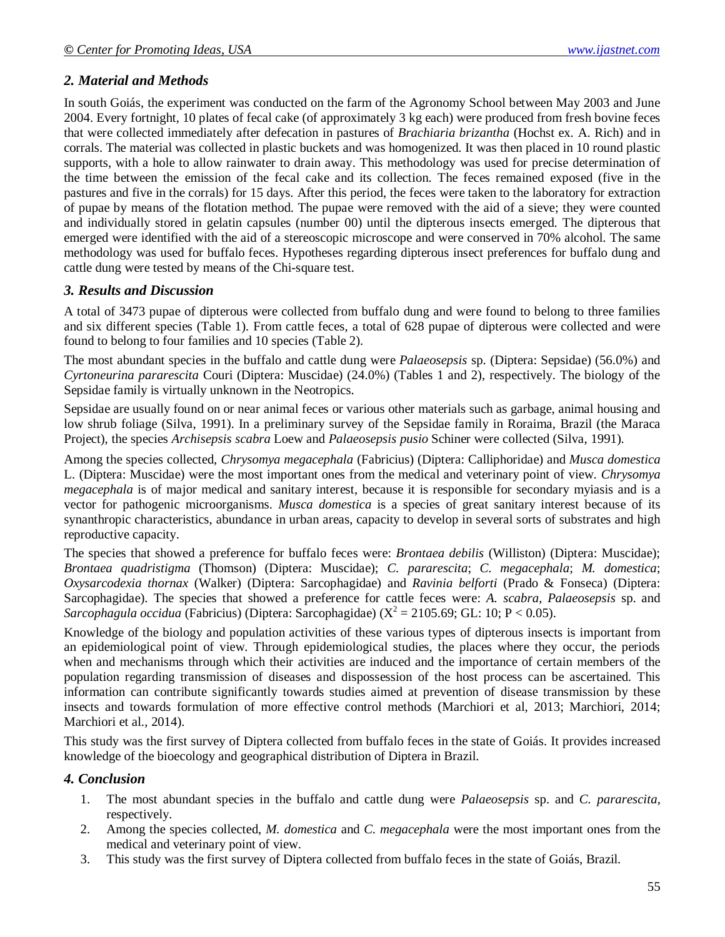## *2. Material and Methods*

In south Goiás, the experiment was conducted on the farm of the Agronomy School between May 2003 and June 2004. Every fortnight, 10 plates of fecal cake (of approximately 3 kg each) were produced from fresh bovine feces that were collected immediately after defecation in pastures of *Brachiaria brizantha* (Hochst ex. A. Rich) and in corrals. The material was collected in plastic buckets and was homogenized. It was then placed in 10 round plastic supports, with a hole to allow rainwater to drain away. This methodology was used for precise determination of the time between the emission of the fecal cake and its collection. The feces remained exposed (five in the pastures and five in the corrals) for 15 days. After this period, the feces were taken to the laboratory for extraction of pupae by means of the flotation method. The pupae were removed with the aid of a sieve; they were counted and individually stored in gelatin capsules (number 00) until the dipterous insects emerged. The dipterous that emerged were identified with the aid of a stereoscopic microscope and were conserved in 70% alcohol. The same methodology was used for buffalo feces. Hypotheses regarding dipterous insect preferences for buffalo dung and cattle dung were tested by means of the Chi-square test.

### *3. Results and Discussion*

A total of 3473 pupae of dipterous were collected from buffalo dung and were found to belong to three families and six different species (Table 1). From cattle feces, a total of 628 pupae of dipterous were collected and were found to belong to four families and 10 species (Table 2).

The most abundant species in the buffalo and cattle dung were *Palaeosepsis* sp. (Diptera: Sepsidae) (56.0%) and *Cyrtoneurina pararescita* Couri (Diptera: Muscidae) (24.0%) (Tables 1 and 2), respectively. The biology of the Sepsidae family is virtually unknown in the Neotropics.

Sepsidae are usually found on or near animal feces or various other materials such as garbage, animal housing and low shrub foliage (Silva, 1991). In a preliminary survey of the Sepsidae family in Roraima, Brazil (the Maraca Project), the species *Archisepsis scabra* Loew and *Palaeosepsis pusio* Schiner were collected (Silva, 1991).

Among the species collected, *Chrysomya megacephala* (Fabricius) (Diptera: Calliphoridae) and *Musca domestica*  L. (Diptera: Muscidae) were the most important ones from the medical and veterinary point of view. *Chrysomya megacephala* is of major medical and sanitary interest, because it is responsible for secondary myiasis and is a vector for pathogenic microorganisms. *Musca domestica* is a species of great sanitary interest because of its synanthropic characteristics, abundance in urban areas, capacity to develop in several sorts of substrates and high reproductive capacity.

The species that showed a preference for buffalo feces were: *Brontaea debilis* (Williston) (Diptera: Muscidae); *Brontaea quadristigma* (Thomson) (Diptera: Muscidae); *C. pararescita*; *C. megacephala*; *M. domestica*; *Oxysarcodexia thornax* (Walker) (Diptera: Sarcophagidae) and *Ravinia belforti* (Prado & Fonseca) (Diptera: Sarcophagidae). The species that showed a preference for cattle feces were: *A. scabra*, *Palaeosepsis* sp. and Sarcophagula occidua (Fabricius) (Diptera: Sarcophagidae) ( $X^2 = 2105.69$ ; GL: 10; P < 0.05).

Knowledge of the biology and population activities of these various types of dipterous insects is important from an epidemiological point of view. Through epidemiological studies, the places where they occur, the periods when and mechanisms through which their activities are induced and the importance of certain members of the population regarding transmission of diseases and dispossession of the host process can be ascertained. This information can contribute significantly towards studies aimed at prevention of disease transmission by these insects and towards formulation of more effective control methods (Marchiori et al, 2013; Marchiori, 2014; Marchiori et al., 2014).

This study was the first survey of Diptera collected from buffalo feces in the state of Goiás. It provides increased knowledge of the bioecology and geographical distribution of Diptera in Brazil.

### *4. Conclusion*

- 1. The most abundant species in the buffalo and cattle dung were *Palaeosepsis* sp. and *C. pararescita*, respectively.
- 2. Among the species collected, *M. domestica* and *C. megacephala* were the most important ones from the medical and veterinary point of view.
- 3. This study was the first survey of Diptera collected from buffalo feces in the state of Goiás, Brazil.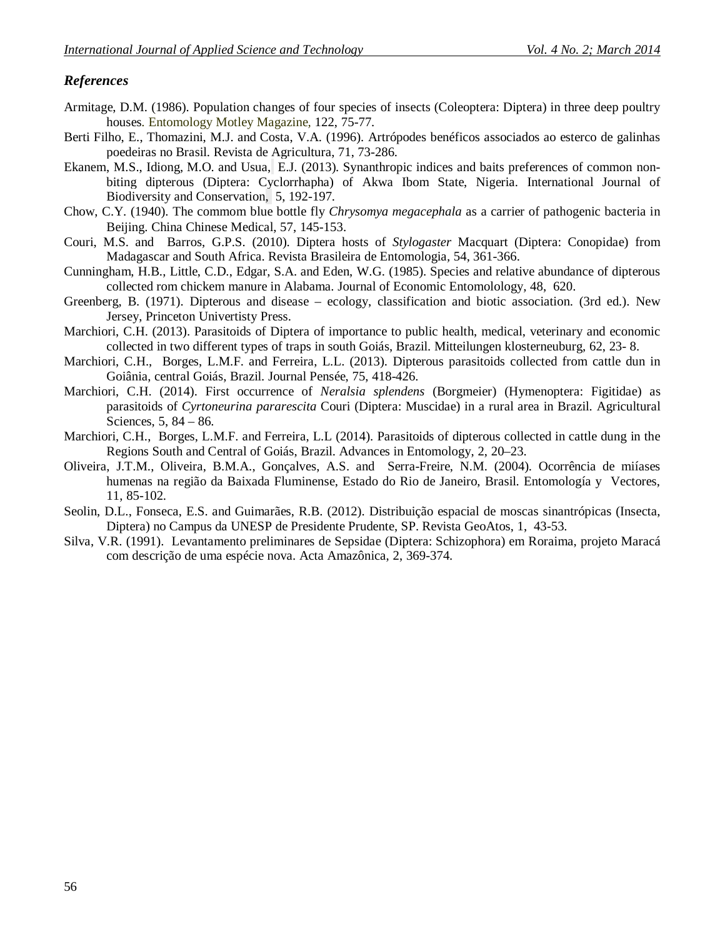### *References*

- Armitage, D.M. (1986). Population changes of four species of insects (Coleoptera: Diptera) in three deep poultry houses*.* Entomology Motley Magazine*,* 122, 75-77.
- Berti Filho, E., Thomazini, M.J. and Costa, V.A. (1996). Artrópodes benéficos associados ao esterco de galinhas poedeiras no Brasil. Revista de Agricultura, 71, 73-286.
- Ekanem, M.S., Idiong, M.O. and Usua, E.J. (2013). Synanthropic indices and baits preferences of common nonbiting dipterous (Diptera: Cyclorrhapha) of Akwa Ibom State, Nigeria. International Journal of Biodiversity and Conservation, 5, 192-197.
- Chow, C.Y. (1940). The commom blue bottle fly *Chrysomya megacephala* as a carrier of pathogenic bacteria in Beijing. China Chinese Medical, 57, 145-153.
- Couri, M.S. and Barros, G.P.S. (2010). Diptera hosts of *Stylogaster* Macquart (Diptera: Conopidae) from Madagascar and South Africa. Revista Brasileira de Entomologia*,* 54, 361-366.
- Cunningham, H.B., Little, C.D., Edgar, S.A. and Eden, W.G. (1985). Species and relative abundance of dipterous collected rom chickem manure in Alabama. Journal of Economic Entomolology*,* 48, 620.
- Greenberg, B. (1971). Dipterous and disease ecology, classification and biotic association. (3rd ed.). New Jersey, Princeton Univertisty Press.
- Marchiori, C.H. (2013). Parasitoids of Diptera of importance to public health, medical, veterinary and economic collected in two different types of traps in south Goiás, Brazil. Mitteilungen klosterneuburg, 62, 23- 8.
- Marchiori, C.H., Borges, L.M.F. and Ferreira, L.L. (2013). Dipterous parasitoids collected from cattle dun in Goiânia, central Goiás, Brazil. Journal Pensée, 75, 418-426.
- Marchiori, C.H. (2014). First occurrence of *Neralsia splendens* (Borgmeier) (Hymenoptera: Figitidae) as parasitoids of *Cyrtoneurina pararescita* Couri (Diptera: Muscidae) in a rural area in Brazil. Agricultural Sciences, 5, 84 – 86.
- Marchiori, C.H., Borges, L.M.F. and Ferreira, L.L (2014). Parasitoids of dipterous collected in cattle dung in the Regions South and Central of Goiás, Brazil. Advances in Entomology, 2, 20–23.
- Oliveira, J.T.M., Oliveira, B.M.A., Gonçalves, A.S. and Serra-Freire, N.M. (2004). Ocorrência de miíases humenas na região da Baixada Fluminense, Estado do Rio de Janeiro, Brasil. Entomología y Vectores, 11, 85-102.
- Seolin, D.L., Fonseca, E.S. and Guimarães, R.B. (2012). Distribuição espacial de moscas sinantrópicas (Insecta, Diptera) no Campus da UNESP de Presidente Prudente, SP. Revista GeoAtos, 1, 43-53.
- Silva, V.R. (1991). Levantamento preliminares de Sepsidae (Diptera: Schizophora) em Roraima, projeto Maracá com descrição de uma espécie nova. Acta Amazônica, 2, 369-374.